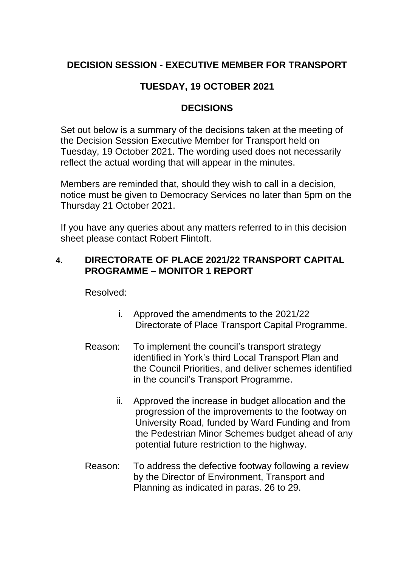# **DECISION SESSION - EXECUTIVE MEMBER FOR TRANSPORT**

# **TUESDAY, 19 OCTOBER 2021**

#### **DECISIONS**

Set out below is a summary of the decisions taken at the meeting of the Decision Session Executive Member for Transport held on Tuesday, 19 October 2021. The wording used does not necessarily reflect the actual wording that will appear in the minutes.

Members are reminded that, should they wish to call in a decision, notice must be given to Democracy Services no later than 5pm on the Thursday 21 October 2021.

If you have any queries about any matters referred to in this decision sheet please contact Robert Flintoft.

### **4. DIRECTORATE OF PLACE 2021/22 TRANSPORT CAPITAL PROGRAMME – MONITOR 1 REPORT**

Resolved:

- i. Approved the amendments to the 2021/22 Directorate of Place Transport Capital Programme.
- Reason: To implement the council's transport strategy identified in York's third Local Transport Plan and the Council Priorities, and deliver schemes identified in the council's Transport Programme.
	- ii. Approved the increase in budget allocation and the progression of the improvements to the footway on University Road, funded by Ward Funding and from the Pedestrian Minor Schemes budget ahead of any potential future restriction to the highway.
- Reason: To address the defective footway following a review by the Director of Environment, Transport and Planning as indicated in paras. 26 to 29.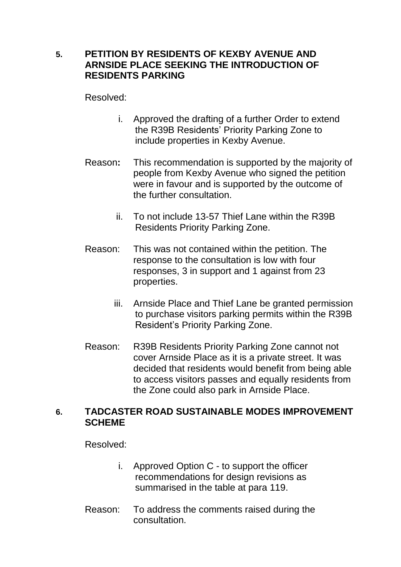## **5. PETITION BY RESIDENTS OF KEXBY AVENUE AND ARNSIDE PLACE SEEKING THE INTRODUCTION OF RESIDENTS PARKING**

Resolved:

- i. Approved the drafting of a further Order to extend the R39B Residents' Priority Parking Zone to include properties in Kexby Avenue.
- Reason**:** This recommendation is supported by the majority of people from Kexby Avenue who signed the petition were in favour and is supported by the outcome of the further consultation.
	- ii. To not include 13-57 Thief Lane within the R39B Residents Priority Parking Zone.
- Reason: This was not contained within the petition. The response to the consultation is low with four responses, 3 in support and 1 against from 23 properties.
	- iii. Arnside Place and Thief Lane be granted permission to purchase visitors parking permits within the R39B Resident's Priority Parking Zone.
- Reason: R39B Residents Priority Parking Zone cannot not cover Arnside Place as it is a private street. It was decided that residents would benefit from being able to access visitors passes and equally residents from the Zone could also park in Arnside Place.

#### **6. TADCASTER ROAD SUSTAINABLE MODES IMPROVEMENT SCHEME**

Resolved:

- i. Approved Option C to support the officer recommendations for design revisions as summarised in the table at para 119.
- Reason: To address the comments raised during the consultation.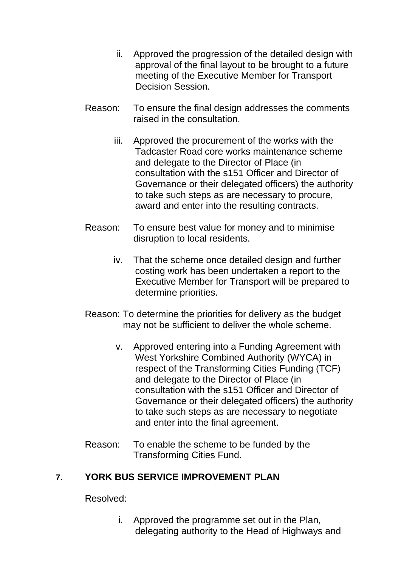- ii. Approved the progression of the detailed design with approval of the final layout to be brought to a future meeting of the Executive Member for Transport Decision Session.
- Reason: To ensure the final design addresses the comments raised in the consultation.
	- iii. Approved the procurement of the works with the Tadcaster Road core works maintenance scheme and delegate to the Director of Place (in consultation with the s151 Officer and Director of Governance or their delegated officers) the authority to take such steps as are necessary to procure, award and enter into the resulting contracts.
- Reason: To ensure best value for money and to minimise disruption to local residents.
	- iv. That the scheme once detailed design and further costing work has been undertaken a report to the Executive Member for Transport will be prepared to determine priorities.
- Reason: To determine the priorities for delivery as the budget may not be sufficient to deliver the whole scheme.
	- v. Approved entering into a Funding Agreement with West Yorkshire Combined Authority (WYCA) in respect of the Transforming Cities Funding (TCF) and delegate to the Director of Place (in consultation with the s151 Officer and Director of Governance or their delegated officers) the authority to take such steps as are necessary to negotiate and enter into the final agreement.
- Reason: To enable the scheme to be funded by the Transforming Cities Fund.

## **7. YORK BUS SERVICE IMPROVEMENT PLAN**

Resolved:

i. Approved the programme set out in the Plan, delegating authority to the Head of Highways and